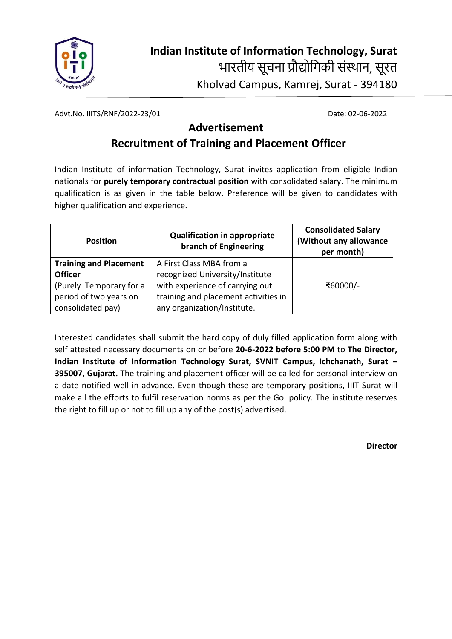

Advt.No. IIITS/RNF/2022-23/01 Date: 02-06-2022

### **Advertisement**

# **Recruitment of Training and Placement Officer**

Indian Institute of information Technology, Surat invites application from eligible Indian nationals for **purely temporary contractual position** with consolidated salary. The minimum qualification is as given in the table below. Preference will be given to candidates with higher qualification and experience.

| <b>Position</b>               | <b>Qualification in appropriate</b><br>branch of Engineering | <b>Consolidated Salary</b><br>(Without any allowance<br>per month) |  |  |
|-------------------------------|--------------------------------------------------------------|--------------------------------------------------------------------|--|--|
| <b>Training and Placement</b> | A First Class MBA from a                                     |                                                                    |  |  |
| <b>Officer</b>                | recognized University/Institute                              |                                                                    |  |  |
| (Purely Temporary for a       | with experience of carrying out                              | ₹60000/-                                                           |  |  |
| period of two years on        | training and placement activities in                         |                                                                    |  |  |
| consolidated pay)             | any organization/Institute.                                  |                                                                    |  |  |

Interested candidates shall submit the hard copy of duly filled application form along with self attested necessary documents on or before **20-6-2022 before 5:00 PM** to **The Director, Indian Institute of Information Technology Surat, SVNIT Campus, Ichchanath, Surat – 395007, Gujarat.** The training and placement officer will be called for personal interview on a date notified well in advance. Even though these are temporary positions, IIIT-Surat will make all the efforts to fulfil reservation norms as per the GoI policy. The institute reserves the right to fill up or not to fill up any of the post(s) advertised.

**Director**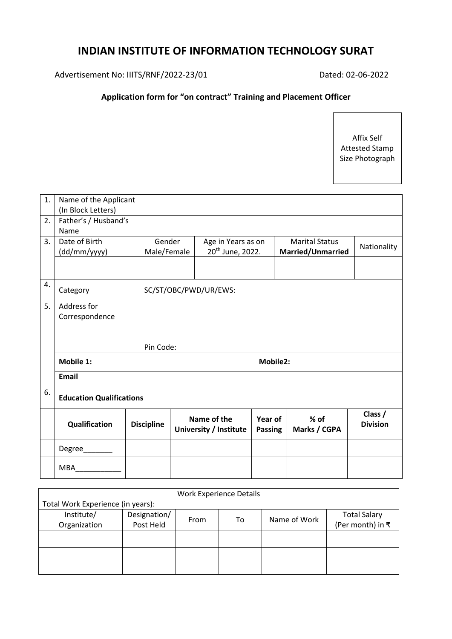## **INDIAN INSTITUTE OF INFORMATION TECHNOLOGY SURAT**

Advertisement No: IIITS/RNF/2022-23/01 Dated: 02-06-2022

#### **Application form for "on contract" Training and Placement Officer**

Affix Self Attested Stamp Size Photograph

| 1. | Name of the Applicant<br>(In Block Letters) |                   |                                                                             |                                       |                                            |                        |                            |  |
|----|---------------------------------------------|-------------------|-----------------------------------------------------------------------------|---------------------------------------|--------------------------------------------|------------------------|----------------------------|--|
| 2. | Father's / Husband's<br>Name                |                   |                                                                             |                                       |                                            |                        |                            |  |
| 3. | Date of Birth<br>(dd/mm/yyyy)               |                   | Gender<br>Age in Years as on<br>20 <sup>th</sup> June, 2022.<br>Male/Female |                                       | <b>Marital Status</b><br>Married/Unmarried |                        | Nationality                |  |
|    |                                             |                   |                                                                             |                                       |                                            |                        |                            |  |
| 4. | Category                                    |                   | SC/ST/OBC/PWD/UR/EWS:                                                       |                                       |                                            |                        |                            |  |
| 5. | Address for<br>Correspondence               |                   |                                                                             |                                       |                                            |                        |                            |  |
|    |                                             |                   | Pin Code:                                                                   |                                       |                                            |                        |                            |  |
|    | Mobile 1:                                   |                   |                                                                             |                                       | Mobile2:                                   |                        |                            |  |
|    | <b>Email</b>                                |                   |                                                                             |                                       |                                            |                        |                            |  |
| 6. | <b>Education Qualifications</b>             |                   |                                                                             |                                       |                                            |                        |                            |  |
|    | Qualification                               | <b>Discipline</b> |                                                                             | Name of the<br>University / Institute | Year of<br><b>Passing</b>                  | $%$ of<br>Marks / CGPA | Class /<br><b>Division</b> |  |
|    | Degree____                                  |                   |                                                                             |                                       |                                            |                        |                            |  |
|    | <b>MBA</b>                                  |                   |                                                                             |                                       |                                            |                        |                            |  |

| <b>Work Experience Details</b>    |              |      |    |              |                     |  |  |  |  |
|-----------------------------------|--------------|------|----|--------------|---------------------|--|--|--|--|
| Total Work Experience (in years): |              |      |    |              |                     |  |  |  |  |
| Institute/                        | Designation/ |      | To | Name of Work | <b>Total Salary</b> |  |  |  |  |
| Organization                      | Post Held    | From |    |              | (Per month) in ₹    |  |  |  |  |
|                                   |              |      |    |              |                     |  |  |  |  |
|                                   |              |      |    |              |                     |  |  |  |  |
|                                   |              |      |    |              |                     |  |  |  |  |
|                                   |              |      |    |              |                     |  |  |  |  |
|                                   |              |      |    |              |                     |  |  |  |  |